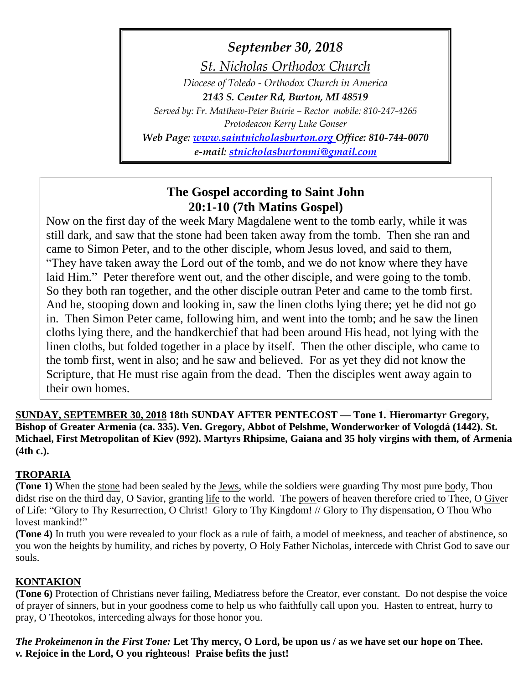*September 30, 2018*

*St. Nicholas Orthodox Church*

*Diocese of Toledo - Orthodox Church in America*

*2143 S. Center Rd, Burton, MI 48519*

*Served by: Fr. Matthew-Peter Butrie – Rector mobile: 810-247-4265 Protodeacon Kerry Luke Gonser*

*Web Page: [www.saintnicholasburton.org](http://www.saintnicholasburton.org/) Office: 810-744-0070 e-mail: [stnicholasburtonmi@gmail.com](mailto:stnicholasburtonmi@gmail.com)*

# **The Gospel according to Saint John 20:1-10 (7th Matins Gospel)**

Now on the first day of the week Mary Magdalene went to the tomb early, while it was still dark, and saw that the stone had been taken away from the tomb. Then she ran and came to Simon Peter, and to the other disciple, whom Jesus loved, and said to them, "They have taken away the Lord out of the tomb, and we do not know where they have laid Him." Peter therefore went out, and the other disciple, and were going to the tomb. So they both ran together, and the other disciple outran Peter and came to the tomb first. And he, stooping down and looking in, saw the linen cloths lying there; yet he did not go in. Then Simon Peter came, following him, and went into the tomb; and he saw the linen cloths lying there, and the handkerchief that had been around His head, not lying with the linen cloths, but folded together in a place by itself. Then the other disciple, who came to the tomb first, went in also; and he saw and believed. For as yet they did not know the Scripture, that He must rise again from the dead. Then the disciples went away again to their own homes.

**SUNDAY, SEPTEMBER 30, 2018 18th SUNDAY AFTER PENTECOST — Tone 1. Hieromartyr Gregory, Bishop of Greater Armenia (ca. 335). Ven. Gregory, Abbot of Pelshme, Wonderworker of Vologdá (1442). St. Michael, First Metropolitan of Kiev (992). Martyrs Rhipsime, Gaiana and 35 holy virgins with them, of Armenia (4th c.).**

# **TROPARIA**

**(Tone 1)** When the stone had been sealed by the Jews, while the soldiers were guarding Thy most pure body, Thou didst rise on the third day, O Savior, granting life to the world. The powers of heaven therefore cried to Thee, O Giver of Life: "Glory to Thy Resurrection, O Christ! Glory to Thy Kingdom! // Glory to Thy dispensation, O Thou Who lovest mankind!"

**(Tone 4)** In truth you were revealed to your flock as a rule of faith, a model of meekness, and teacher of abstinence, so you won the heights by humility, and riches by poverty, O Holy Father Nicholas, intercede with Christ God to save our souls.

## **KONTAKION**

**(Tone 6)** Protection of Christians never failing, Mediatress before the Creator, ever constant. Do not despise the voice of prayer of sinners, but in your goodness come to help us who faithfully call upon you. Hasten to entreat, hurry to pray, O Theotokos, interceding always for those honor you.

*The Prokeimenon in the First Tone:* **Let Thy mercy, O Lord, be upon us / as we have set our hope on Thee.** *v.* **Rejoice in the Lord, O you righteous! Praise befits the just!**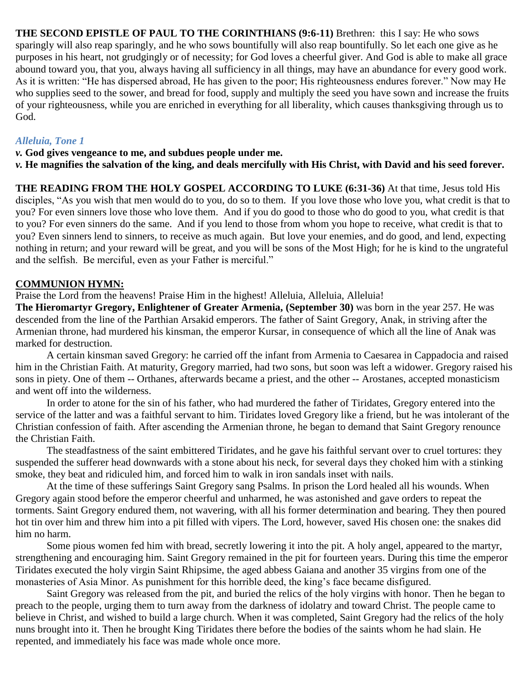**THE SECOND EPISTLE OF PAUL TO THE CORINTHIANS (9:6-11)** Brethren: this I say: He who sows sparingly will also reap sparingly, and he who sows bountifully will also reap bountifully. So let each one give as he purposes in his heart, not grudgingly or of necessity; for God loves a cheerful giver. And God is able to make all grace abound toward you, that you, always having all sufficiency in all things, may have an abundance for every good work. As it is written: "He has dispersed abroad, He has given to the poor; His righteousness endures forever." Now may He who supplies seed to the sower, and bread for food, supply and multiply the seed you have sown and increase the fruits of your righteousness, while you are enriched in everything for all liberality, which causes thanksgiving through us to God.

### *Alleluia, Tone 1*

*v.* **God gives vengeance to me, and subdues people under me.**

*v.* **He magnifies the salvation of the king, and deals mercifully with His Christ, with David and his seed forever.**

**THE READING FROM THE HOLY GOSPEL ACCORDING TO LUKE (6:31-36)** At that time, Jesus told His disciples, "As you wish that men would do to you, do so to them. If you love those who love you, what credit is that to you? For even sinners love those who love them. And if you do good to those who do good to you, what credit is that to you? For even sinners do the same. And if you lend to those from whom you hope to receive, what credit is that to you? Even sinners lend to sinners, to receive as much again. But love your enemies, and do good, and lend, expecting nothing in return; and your reward will be great, and you will be sons of the Most High; for he is kind to the ungrateful and the selfish. Be merciful, even as your Father is merciful."

### **COMMUNION HYMN:**

Praise the Lord from the heavens! Praise Him in the highest! Alleluia, Alleluia, Alleluia!

**The Hieromartyr Gregory, Enlightener of Greater Armenia, (September 30)** was born in the year 257. He was descended from the line of the Parthian Arsakid emperors. The father of Saint Gregory, Anak, in striving after the Armenian throne, had murdered his kinsman, the emperor Kursar, in consequence of which all the line of Anak was marked for destruction.

A certain kinsman saved Gregory: he carried off the infant from Armenia to Caesarea in Cappadocia and raised him in the Christian Faith. At maturity, Gregory married, had two sons, but soon was left a widower. Gregory raised his sons in piety. One of them -- Orthanes, afterwards became a priest, and the other -- Arostanes, accepted monasticism and went off into the wilderness.

In order to atone for the sin of his father, who had murdered the father of Tiridates, Gregory entered into the service of the latter and was a faithful servant to him. Tiridates loved Gregory like a friend, but he was intolerant of the Christian confession of faith. After ascending the Armenian throne, he began to demand that Saint Gregory renounce the Christian Faith.

The steadfastness of the saint embittered Tiridates, and he gave his faithful servant over to cruel tortures: they suspended the sufferer head downwards with a stone about his neck, for several days they choked him with a stinking smoke, they beat and ridiculed him, and forced him to walk in iron sandals inset with nails.

At the time of these sufferings Saint Gregory sang Psalms. In prison the Lord healed all his wounds. When Gregory again stood before the emperor cheerful and unharmed, he was astonished and gave orders to repeat the torments. Saint Gregory endured them, not wavering, with all his former determination and bearing. They then poured hot tin over him and threw him into a pit filled with vipers. The Lord, however, saved His chosen one: the snakes did him no harm.

Some pious women fed him with bread, secretly lowering it into the pit. A holy angel, appeared to the martyr, strengthening and encouraging him. Saint Gregory remained in the pit for fourteen years. During this time the emperor Tiridates executed the holy virgin Saint Rhipsime, the aged abbess Gaiana and another 35 virgins from one of the monasteries of Asia Minor. As punishment for this horrible deed, the king's face became disfigured.

Saint Gregory was released from the pit, and buried the relics of the holy virgins with honor. Then he began to preach to the people, urging them to turn away from the darkness of idolatry and toward Christ. The people came to believe in Christ, and wished to build a large church. When it was completed, Saint Gregory had the relics of the holy nuns brought into it. Then he brought King Tiridates there before the bodies of the saints whom he had slain. He repented, and immediately his face was made whole once more.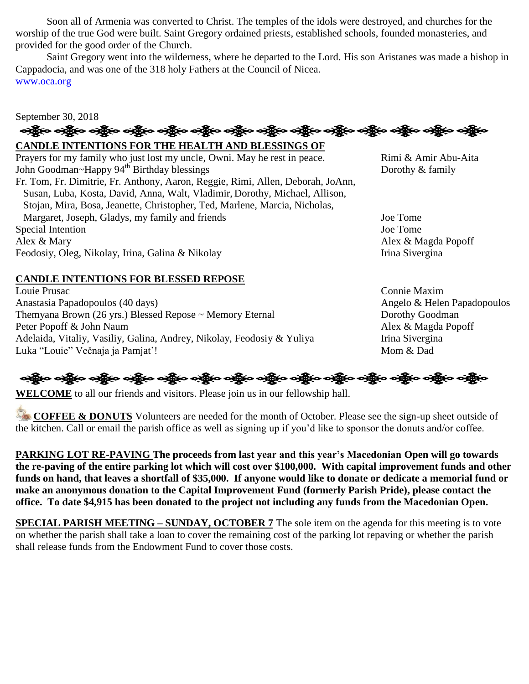Soon all of Armenia was converted to Christ. The temples of the idols were destroyed, and churches for the worship of the true God were built. Saint Gregory ordained priests, established schools, founded monasteries, and provided for the good order of the Church.

Saint Gregory went into the wilderness, where he departed to the Lord. His son Aristanes was made a bishop in Cappadocia, and was one of the 318 holy Fathers at the Council of Nicea. [www.oca.org](http://www.oca.org/)

# September 30, 2018 અક્ષેત્ર અક્ષેત્ર અક્ષેત્ર અહીં અને અક્ષેત્ર અક્ષેત્ર અક્ષેત્ર અક્ષેત્ર અને અહીં અને અક્ષેત્ર અહીં અને અહીં અ

## **CANDLE INTENTIONS FOR THE HEALTH AND BLESSINGS OF**

Prayers for my family who just lost my uncle, Owni. May he rest in peace. Rimi & Amir Abu-Aita John Goodman~Happy 94<sup>th</sup> Birthday blessings Dorothy & family Fr. Tom, Fr. Dimitrie, Fr. Anthony, Aaron, Reggie, Rimi, Allen, Deborah, JoAnn, Susan, Luba, Kosta, David, Anna, Walt, Vladimir, Dorothy, Michael, Allison, Stojan, Mira, Bosa, Jeanette, Christopher, Ted, Marlene, Marcia, Nicholas, Margaret, Joseph, Gladys, my family and friends Joe Tome Special Intention Joe Tome Alex & Mary Alex & Magda Popoff Feodosiy, Oleg, Nikolay, Irina, Galina & Nikolay Irina Sivergina

## **CANDLE INTENTIONS FOR BLESSED REPOSE**

Louie Prusac Connie Maxim Anastasia Papadopoulos (40 days) Angelo & Helen Papadopoulos Themyana Brown (26 yrs.) Blessed Repose ~ Memory Eternal Dorothy Goodman Peter Popoff & John Naum Alex & Magda Popoff Adelaida, Vitaliy, Vasiliy, Galina, Andrey, Nikolay, Feodosiy & Yuliya Irina Sivergina Luka "Louie" Večnaja ja Pamjat'! Mom & Dad

**WELCOME** to all our friends and visitors. Please join us in our fellowship hall.

**COFFEE & DONUTS** Volunteers are needed for the month of October. Please see the sign-up sheet outside of the kitchen. Call or email the parish office as well as signing up if you'd like to sponsor the donuts and/or coffee.

**PARKING LOT RE-PAVING The proceeds from last year and this year's Macedonian Open will go towards the re-paving of the entire parking lot which will cost over \$100,000. With capital improvement funds and other funds on hand, that leaves a shortfall of \$35,000. If anyone would like to donate or dedicate a memorial fund or make an anonymous donation to the Capital Improvement Fund (formerly Parish Pride), please contact the office. To date \$4,915 has been donated to the project not including any funds from the Macedonian Open.**

**SPECIAL PARISH MEETING – SUNDAY, OCTOBER 7** The sole item on the agenda for this meeting is to vote on whether the parish shall take a loan to cover the remaining cost of the parking lot repaving or whether the parish shall release funds from the Endowment Fund to cover those costs.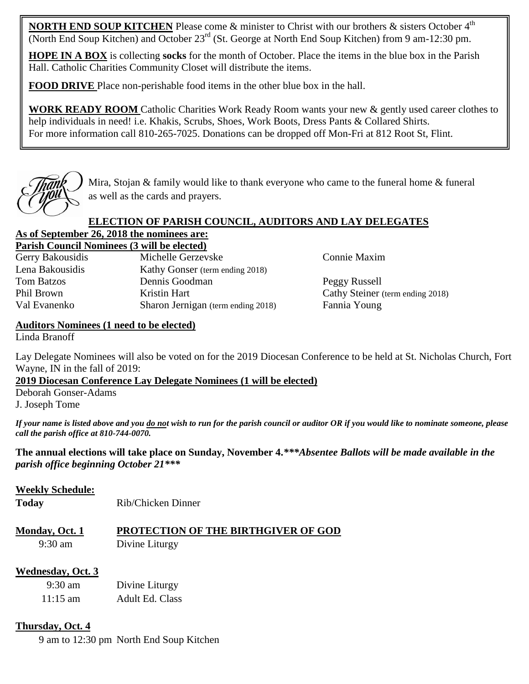**NORTH END SOUP KITCHEN** Please come & minister to Christ with our brothers & sisters October 4<sup>th</sup> (North End Soup Kitchen) and October 23rd (St. George at North End Soup Kitchen) from 9 am-12:30 pm.

**HOPE IN A BOX** is collecting **socks** for the month of October. Place the items in the blue box in the Parish Hall. Catholic Charities Community Closet will distribute the items.

**FOOD DRIVE** Place non-perishable food items in the other blue box in the hall.

**WORK READY ROOM** Catholic Charities Work Ready Room wants your new & gently used career clothes to help individuals in need! i.e. Khakis, Scrubs, Shoes, Work Boots, Dress Pants & Collared Shirts. For more information call 810-265-7025. Donations can be dropped off Mon-Fri at 812 Root St, Flint.



Mira, Stojan & family would like to thank everyone who came to the funeral home & funeral as well as the cards and prayers.

## **ELECTION OF PARISH COUNCIL, AUDITORS AND LAY DELEGATES**

# **As of September 26, 2018 the nominees are:**

**Parish Council Nominees (3 will be elected)** Gerry Bakousidis Michelle Gerzevske Connie Maxim Lena Bakousidis Kathy Gonser (term ending 2018) Tom Batzos Dennis Goodman Peggy Russell Phil Brown Kristin Hart Cathy Steiner (term ending 2018) Val Evanenko Sharon Jernigan (term ending 2018) Fannia Young

## **Auditors Nominees (1 need to be elected)**

Linda Branoff

Lay Delegate Nominees will also be voted on for the 2019 Diocesan Conference to be held at St. Nicholas Church, Fort Wayne, IN in the fall of 2019:

**2019 Diocesan Conference Lay Delegate Nominees (1 will be elected)**

Deborah Gonser-Adams J. Joseph Tome

*If your name is listed above and you do not wish to run for the parish council or auditor OR if you would like to nominate someone, please call the parish office at 810-744-0070.*

**The annual elections will take place on Sunday, November 4.***\*\*\*Absentee Ballots will be made available in the parish office beginning October 21\*\*\**

## **Weekly Schedule:**

**Today** Rib/Chicken Dinner

# **Monday, Oct. 1 PROTECTION OF THE BIRTHGIVER OF GOD** 9:30 am Divine Liturgy

## **Wednesday, Oct. 3**

9:30 am Divine Liturgy 11:15 am Adult Ed. Class

## **Thursday, Oct. 4**

9 am to 12:30 pm North End Soup Kitchen